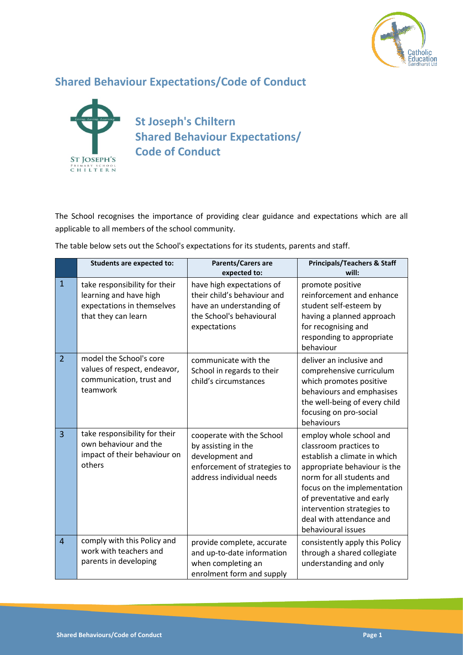

## **Shared Behaviour Expectations/Code of Conduct**



**St Joseph's Chiltern Shared Behaviour Expectations/ Code of Conduct**

The School recognises the importance of providing clear guidance and expectations which are all applicable to all members of the school community.

The table below sets out the School's expectations for its students, parents and staff.

|                | <b>Students are expected to:</b>                                                                             | Parents/Carers are<br>expected to:                                                                                               | <b>Principals/Teachers &amp; Staff</b><br>will:                                                                                                                                                                                                                                            |
|----------------|--------------------------------------------------------------------------------------------------------------|----------------------------------------------------------------------------------------------------------------------------------|--------------------------------------------------------------------------------------------------------------------------------------------------------------------------------------------------------------------------------------------------------------------------------------------|
| $\mathbf{1}$   | take responsibility for their<br>learning and have high<br>expectations in themselves<br>that they can learn | have high expectations of<br>their child's behaviour and<br>have an understanding of<br>the School's behavioural<br>expectations | promote positive<br>reinforcement and enhance<br>student self-esteem by<br>having a planned approach<br>for recognising and<br>responding to appropriate<br>behaviour                                                                                                                      |
| $\overline{2}$ | model the School's core<br>values of respect, endeavor,<br>communication, trust and<br>teamwork              | communicate with the<br>School in regards to their<br>child's circumstances                                                      | deliver an inclusive and<br>comprehensive curriculum<br>which promotes positive<br>behaviours and emphasises<br>the well-being of every child<br>focusing on pro-social<br>behaviours                                                                                                      |
| $\overline{3}$ | take responsibility for their<br>own behaviour and the<br>impact of their behaviour on<br>others             | cooperate with the School<br>by assisting in the<br>development and<br>enforcement of strategies to<br>address individual needs  | employ whole school and<br>classroom practices to<br>establish a climate in which<br>appropriate behaviour is the<br>norm for all students and<br>focus on the implementation<br>of preventative and early<br>intervention strategies to<br>deal with attendance and<br>behavioural issues |
| $\overline{4}$ | comply with this Policy and<br>work with teachers and<br>parents in developing                               | provide complete, accurate<br>and up-to-date information<br>when completing an<br>enrolment form and supply                      | consistently apply this Policy<br>through a shared collegiate<br>understanding and only                                                                                                                                                                                                    |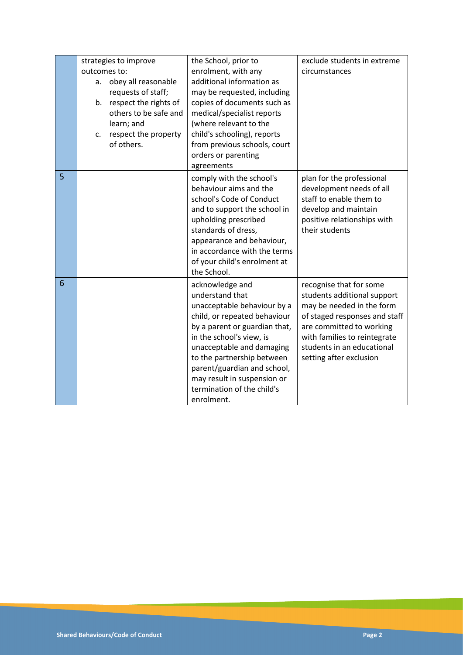|   | strategies to improve<br>outcomes to:<br>obey all reasonable<br>a.<br>requests of staff;<br>respect the rights of<br>b.<br>others to be safe and<br>learn; and<br>respect the property<br>c.<br>of others. | the School, prior to<br>enrolment, with any<br>additional information as<br>may be requested, including<br>copies of documents such as<br>medical/specialist reports<br>(where relevant to the<br>child's schooling), reports<br>from previous schools, court<br>orders or parenting<br>agreements                                  | exclude students in extreme<br>circumstances                                                                                                                                                                                              |
|---|------------------------------------------------------------------------------------------------------------------------------------------------------------------------------------------------------------|-------------------------------------------------------------------------------------------------------------------------------------------------------------------------------------------------------------------------------------------------------------------------------------------------------------------------------------|-------------------------------------------------------------------------------------------------------------------------------------------------------------------------------------------------------------------------------------------|
| 5 |                                                                                                                                                                                                            | comply with the school's<br>behaviour aims and the<br>school's Code of Conduct<br>and to support the school in<br>upholding prescribed<br>standards of dress,<br>appearance and behaviour,<br>in accordance with the terms<br>of your child's enrolment at<br>the School.                                                           | plan for the professional<br>development needs of all<br>staff to enable them to<br>develop and maintain<br>positive relationships with<br>their students                                                                                 |
| 6 |                                                                                                                                                                                                            | acknowledge and<br>understand that<br>unacceptable behaviour by a<br>child, or repeated behaviour<br>by a parent or guardian that,<br>in the school's view, is<br>unacceptable and damaging<br>to the partnership between<br>parent/guardian and school,<br>may result in suspension or<br>termination of the child's<br>enrolment. | recognise that for some<br>students additional support<br>may be needed in the form<br>of staged responses and staff<br>are committed to working<br>with families to reintegrate<br>students in an educational<br>setting after exclusion |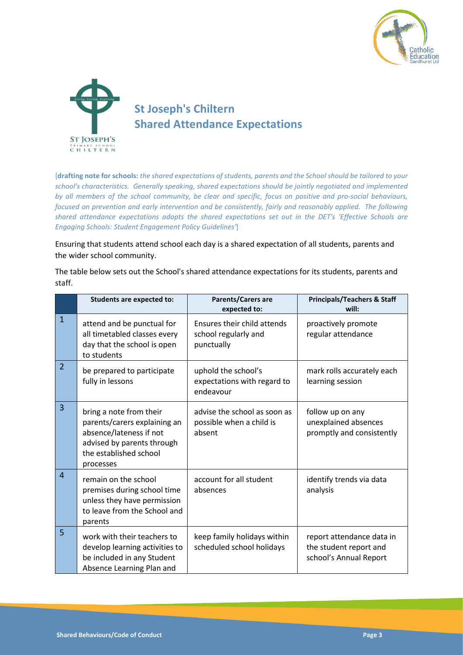



[**drafting note for schools:** *the shared expectations of students, parents and the School should be tailored to your school's characteristics. Generally speaking, shared expectations should be jointly negotiated and implemented by all members of the school community, be clear and specific, focus on positive and pro-social behaviours, focused on prevention and early intervention and be consistently, fairly and reasonably applied. The following shared attendance expectations adopts the shared expectations set out in the DET's 'Effective Schools are Engaging Schools: Student Engagement Policy Guidelines'*]

Ensuring that students attend school each day is a shared expectation of all students, parents and the wider school community.

The table below sets out the School's shared attendance expectations for its students, parents and staff.

|                | <b>Students are expected to:</b>                                                                                                                        | Parents/Carers are<br>expected to:                                 | <b>Principals/Teachers &amp; Staff</b><br>will:                               |
|----------------|---------------------------------------------------------------------------------------------------------------------------------------------------------|--------------------------------------------------------------------|-------------------------------------------------------------------------------|
| $\mathbf{1}$   | attend and be punctual for<br>all timetabled classes every<br>day that the school is open<br>to students                                                | Ensures their child attends<br>school regularly and<br>punctually  | proactively promote<br>regular attendance                                     |
| $\overline{2}$ | be prepared to participate<br>fully in lessons                                                                                                          | uphold the school's<br>expectations with regard to<br>endeavour    | mark rolls accurately each<br>learning session                                |
| 3              | bring a note from their<br>parents/carers explaining an<br>absence/lateness if not<br>advised by parents through<br>the established school<br>processes | advise the school as soon as<br>possible when a child is<br>absent | follow up on any<br>unexplained absences<br>promptly and consistently         |
| $\overline{4}$ | remain on the school<br>premises during school time<br>unless they have permission<br>to leave from the School and<br>parents                           | account for all student<br>absences                                | identify trends via data<br>analysis                                          |
| 5              | work with their teachers to<br>develop learning activities to<br>be included in any Student<br>Absence Learning Plan and                                | keep family holidays within<br>scheduled school holidays           | report attendance data in<br>the student report and<br>school's Annual Report |